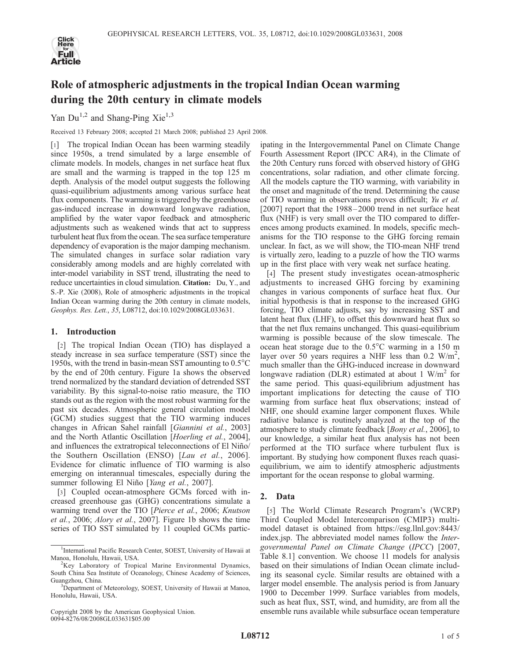

# Role of atmospheric adjustments in the tropical Indian Ocean warming during the 20th century in climate models

Yan  $Du^{1,2}$  and Shang-Ping Xie<sup>1,3</sup>

Received 13 February 2008; accepted 21 March 2008; published 23 April 2008.

[1] The tropical Indian Ocean has been warming steadily since 1950s, a trend simulated by a large ensemble of climate models. In models, changes in net surface heat flux are small and the warming is trapped in the top 125 m depth. Analysis of the model output suggests the following quasi-equilibrium adjustments among various surface heat flux components. The warming is triggered by the greenhouse gas-induced increase in downward longwave radiation, amplified by the water vapor feedback and atmospheric adjustments such as weakened winds that act to suppress turbulent heat flux from the ocean. The sea surface temperature dependency of evaporation is the major damping mechanism. The simulated changes in surface solar radiation vary considerably among models and are highly correlated with inter-model variability in SST trend, illustrating the need to reduce uncertainties in cloud simulation. Citation: Du, Y., and S.-P. Xie (2008), Role of atmospheric adjustments in the tropical Indian Ocean warming during the 20th century in climate models, Geophys. Res. Lett., 35, L08712, doi:10.1029/2008GL033631.

## 1. Introduction

[2] The tropical Indian Ocean (TIO) has displayed a steady increase in sea surface temperature (SST) since the 1950s, with the trend in basin-mean SST amounting to  $0.5^{\circ}$ C by the end of 20th century. Figure 1a shows the observed trend normalized by the standard deviation of detrended SST variability. By this signal-to-noise ratio measure, the TIO stands out as the region with the most robust warming for the past six decades. Atmospheric general circulation model (GCM) studies suggest that the TIO warming induces changes in African Sahel rainfall [Giannini et al., 2003] and the North Atlantic Oscillation [Hoerling et al., 2004], and influences the extratropical teleconnections of El Niño/ the Southern Oscillation (ENSO) [Lau et al., 2006]. Evidence for climatic influence of TIO warming is also emerging on interannual timescales, especially during the summer following El Niño [Yang et al., 2007].

[3] Coupled ocean-atmosphere GCMs forced with increased greenhouse gas (GHG) concentrations simulate a warming trend over the TIO [Pierce et al., 2006; Knutson et al., 2006; Alory et al., 2007]. Figure 1b shows the time series of TIO SST simulated by 11 coupled GCMs partic-

Copyright 2008 by the American Geophysical Union. 0094-8276/08/2008GL033631\$05.00

ipating in the Intergovernmental Panel on Climate Change Fourth Assessment Report (IPCC AR4), in the Climate of the 20th Century runs forced with observed history of GHG concentrations, solar radiation, and other climate forcing. All the models capture the TIO warming, with variability in the onset and magnitude of the trend. Determining the cause of TIO warming in observations proves difficult; Yu et al. [2007] report that the 1988–2000 trend in net surface heat flux (NHF) is very small over the TIO compared to differences among products examined. In models, specific mechanisms for the TIO response to the GHG forcing remain unclear. In fact, as we will show, the TIO-mean NHF trend is virtually zero, leading to a puzzle of how the TIO warms up in the first place with very weak net surface heating.

[4] The present study investigates ocean-atmospheric adjustments to increased GHG forcing by examining changes in various components of surface heat flux. Our initial hypothesis is that in response to the increased GHG forcing, TIO climate adjusts, say by increasing SST and latent heat flux (LHF), to offset this downward heat flux so that the net flux remains unchanged. This quasi-equilibrium warming is possible because of the slow timescale. The ocean heat storage due to the  $0.5^{\circ}$ C warming in a 150 m layer over 50 years requires a NHF less than  $0.2 \text{ W/m}^2$ , much smaller than the GHG-induced increase in downward longwave radiation (DLR) estimated at about 1  $W/m^2$  for the same period. This quasi-equilibrium adjustment has important implications for detecting the cause of TIO warming from surface heat flux observations; instead of NHF, one should examine larger component fluxes. While radiative balance is routinely analyzed at the top of the atmosphere to study climate feedback [*Bony et al.*, 2006], to our knowledge, a similar heat flux analysis has not been performed at the TIO surface where turbulent flux is important. By studying how component fluxes reach quasiequilibrium, we aim to identify atmospheric adjustments important for the ocean response to global warming.

## 2. Data

[5] The World Climate Research Program's (WCRP) Third Coupled Model Intercomparison (CMIP3) multimodel dataset is obtained from https://esg.llnl.gov:8443/ index.jsp. The abbreviated model names follow the Intergovernmental Panel on Climate Change (IPCC) [2007, Table 8.1] convention. We choose 11 models for analysis based on their simulations of Indian Ocean climate including its seasonal cycle. Similar results are obtained with a larger model ensemble. The analysis period is from January 1900 to December 1999. Surface variables from models, such as heat flux, SST, wind, and humidity, are from all the ensemble runs available while subsurface ocean temperature

<sup>&</sup>lt;sup>1</sup>International Pacific Research Center, SOEST, University of Hawaii at Manoa, Honolulu, Hawaii, USA. <sup>2</sup>

<sup>&</sup>lt;sup>2</sup>Key Laboratory of Tropical Marine Environmental Dynamics, South China Sea Institute of Oceanology, Chinese Academy of Sciences, Guangzhou, China. <sup>3</sup>

<sup>&</sup>lt;sup>3</sup>Department of Meteorology, SOEST, University of Hawaii at Manoa, Honolulu, Hawaii, USA.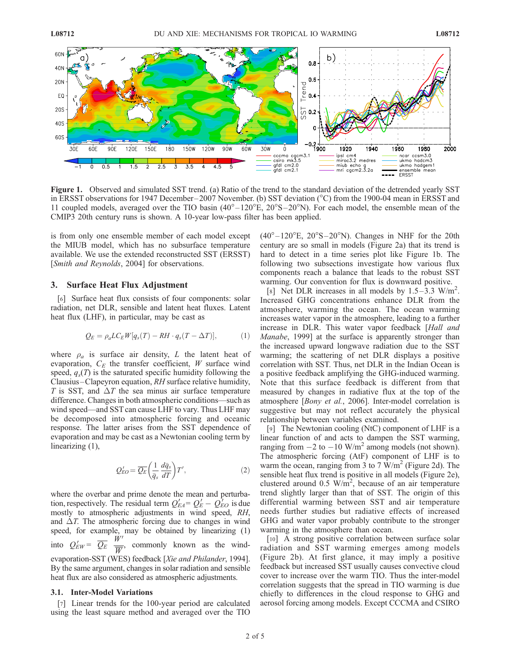

Figure 1. Observed and simulated SST trend. (a) Ratio of the trend to the standard deviation of the detrended yearly SST in ERSST observations for 1947 December–2007 November. (b) SST deviation (°C) from the 1900-04 mean in ERSST and 11 coupled models, averaged over the TIO basin  $(40^{\circ} - 120^{\circ}E, 20^{\circ}S - 20^{\circ}N)$ . For each model, the ensemble mean of the CMIP3 20th century runs is shown. A 10-year low-pass filter has been applied.

is from only one ensemble member of each model except the MIUB model, which has no subsurface temperature available. We use the extended reconstructed SST (ERSST) [*Smith and Reynolds*, 2004] for observations.

### 3. Surface Heat Flux Adjustment

[6] Surface heat flux consists of four components: solar radiation, net DLR, sensible and latent heat fluxes. Latent heat flux (LHF), in particular, may be cast as

$$
Q_E = \rho_a LC_E W[q_s(T) - RH \cdot q_s(T - \Delta T)], \tag{1}
$$

where  $\rho_a$  is surface air density, L the latent heat of evaporation,  $C_E$  the transfer coefficient, W surface wind speed,  $q_s(T)$  is the saturated specific humidity following the Clausius –Clapeyron equation, RH surface relative humidity, T is SST, and  $\Delta T$  the sea minus air surface temperature difference. Changes in both atmospheric conditions—such as wind speed—and SST can cause LHF to vary. Thus LHF may be decomposed into atmospheric forcing and oceanic response. The latter arises from the SST dependence of evaporation and may be cast as a Newtonian cooling term by linearizing  $(1)$ ,

$$
Q'_{EO} = \overline{Q_E} \left( \frac{1}{\bar{q}_s} \frac{d\bar{q}_s}{dT} \right) T',\tag{2}
$$

where the overbar and prime denote the mean and perturbation, respectively. The residual term  $Q'_{EA} = Q'_{E} - Q'_{EO}$  is due mostly to atmospheric adjustments in wind speed, RH, and  $\Delta T$ . The atmospheric forcing due to changes in wind speed, for example, may be obtained by linearizing (1) into  $Q'_{EW} = \overline{Q_E} \frac{\dot{W}'}{\overline{W}}$  $\frac{W}{W}$ , commonly known as the windevaporation-SST (WES) feedback [Xie and Philander, 1994]. By the same argument, changes in solar radiation and sensible heat flux are also considered as atmospheric adjustments.

#### 3.1. Inter-Model Variations

[7] Linear trends for the 100-year period are calculated using the least square method and averaged over the TIO

 $(40^{\circ}-120^{\circ}E, 20^{\circ}S - 20^{\circ}N)$ . Changes in NHF for the 20th century are so small in models (Figure 2a) that its trend is hard to detect in a time series plot like Figure 1b. The following two subsections investigate how various flux components reach a balance that leads to the robust SST warming. Our convention for flux is downward positive.

[8] Net DLR increases in all models by  $1.5-\overline{3}.3$  W/m<sup>2</sup>. Increased GHG concentrations enhance DLR from the atmosphere, warming the ocean. The ocean warming increases water vapor in the atmosphere, leading to a further increase in DLR. This water vapor feedback [Hall and Manabe, 1999] at the surface is apparently stronger than the increased upward longwave radiation due to the SST warming; the scattering of net DLR displays a positive correlation with SST. Thus, net DLR in the Indian Ocean is a positive feedback amplifying the GHG-induced warming. Note that this surface feedback is different from that measured by changes in radiative flux at the top of the atmosphere [Bony et al., 2006]. Inter-model correlation is suggestive but may not reflect accurately the physical relationship between variables examined.

[9] The Newtonian cooling (NtC) component of LHF is a linear function of and acts to dampen the SST warming, ranging from  $-2$  to  $-10$  W/m<sup>2</sup> among models (not shown). The atmospheric forcing (AtF) component of LHF is to warm the ocean, ranging from 3 to 7  $W/m^2$  (Figure 2d). The sensible heat flux trend is positive in all models (Figure 2e), clustered around  $0.5 \text{ W/m}^2$ , because of an air temperature trend slightly larger than that of SST. The origin of this differential warming between SST and air temperature needs further studies but radiative effects of increased GHG and water vapor probably contribute to the stronger warming in the atmosphere than ocean.

[10] A strong positive correlation between surface solar radiation and SST warming emerges among models (Figure 2b). At first glance, it may imply a positive feedback but increased SST usually causes convective cloud cover to increase over the warm TIO. Thus the inter-model correlation suggests that the spread in TIO warming is due chiefly to differences in the cloud response to GHG and aerosol forcing among models. Except CCCMA and CSIRO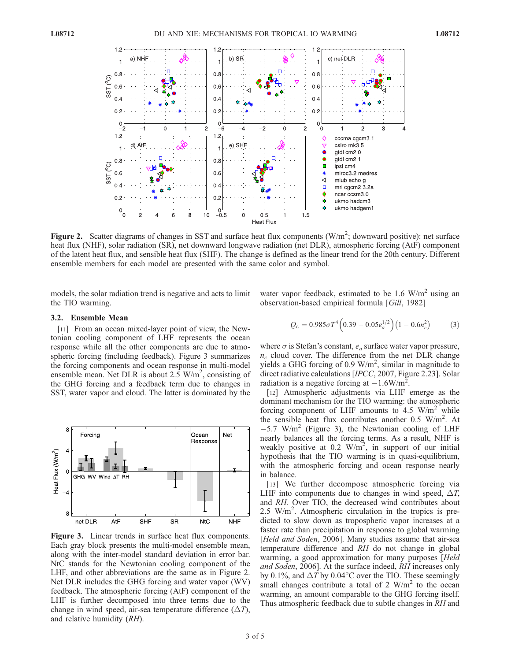

Figure 2. Scatter diagrams of changes in SST and surface heat flux components  $(W/m^2;$  downward positive): net surface heat flux (NHF), solar radiation (SR), net downward longwave radiation (net DLR), atmospheric forcing (AtF) component of the latent heat flux, and sensible heat flux (SHF). The change is defined as the linear trend for the 20th century. Different ensemble members for each model are presented with the same color and symbol.

models, the solar radiation trend is negative and acts to limit the TIO warming.

water vapor feedback, estimated to be 1.6  $W/m<sup>2</sup>$  using an observation-based empirical formula [Gill, 1982]

## 3.2. Ensemble Mean

[11] From an ocean mixed-layer point of view, the Newtonian cooling component of LHF represents the ocean response while all the other components are due to atmospheric forcing (including feedback). Figure 3 summarizes the forcing components and ocean response in multi-model ensemble mean. Net DLR is about  $2.5 \text{ W/m}^2$ , consisting of the GHG forcing and a feedback term due to changes in SST, water vapor and cloud. The latter is dominated by the



Figure 3. Linear trends in surface heat flux components. Each gray block presents the multi-model ensemble mean, along with the inter-model standard deviation in error bar. NtC stands for the Newtonian cooling component of the LHF, and other abbreviations are the same as in Figure 2. Net DLR includes the GHG forcing and water vapor (WV) feedback. The atmospheric forcing (AtF) component of the LHF is further decomposed into three terms due to the change in wind speed, air-sea temperature difference  $(\Delta T)$ , and relative humidity (RH).

$$
Q_L = 0.985 \sigma T^4 \left( 0.39 - 0.05 e_a^{1/2} \right) \left( 1 - 0.6 n_c^2 \right) \tag{3}
$$

where  $\sigma$  is Stefan's constant,  $e_a$  surface water vapor pressure,  $n_c$  cloud cover. The difference from the net DLR change yields a GHG forcing of 0.9  $W/m^2$ , similar in magnitude to direct radiative calculations [IPCC, 2007, Figure 2.23]. Solar radiation is a negative forcing at  $-1.6W/m^2$ .

[12] Atmospheric adjustments via LHF emerge as the dominant mechanism for the TIO warming: the atmospheric forcing component of LHF amounts to  $4.5 \text{ W/m}^2$  while the sensible heat flux contributes another 0.5 W/m<sup>2</sup>. At  $-5.7$  W/m<sup>2</sup> (Figure 3), the Newtonian cooling of LHF nearly balances all the forcing terms. As a result, NHF is weakly positive at 0.2  $W/m^2$ , in support of our initial hypothesis that the TIO warming is in quasi-equilibrium, with the atmospheric forcing and ocean response nearly in balance.

[13] We further decompose atmospheric forcing via LHF into components due to changes in wind speed,  $\Delta T$ , and RH. Over TIO, the decreased wind contributes about 2.5 W/m<sup>2</sup>. Atmospheric circulation in the tropics is predicted to slow down as tropospheric vapor increases at a faster rate than precipitation in response to global warming [*Held and Soden*, 2006]. Many studies assume that air-sea temperature difference and RH do not change in global warming, a good approximation for many purposes [Held and Soden, 2006]. At the surface indeed, RH increases only by 0.1%, and  $\Delta T$  by 0.04°C over the TIO. These seemingly small changes contribute a total of 2  $W/m<sup>2</sup>$  to the ocean warming, an amount comparable to the GHG forcing itself. Thus atmospheric feedback due to subtle changes in RH and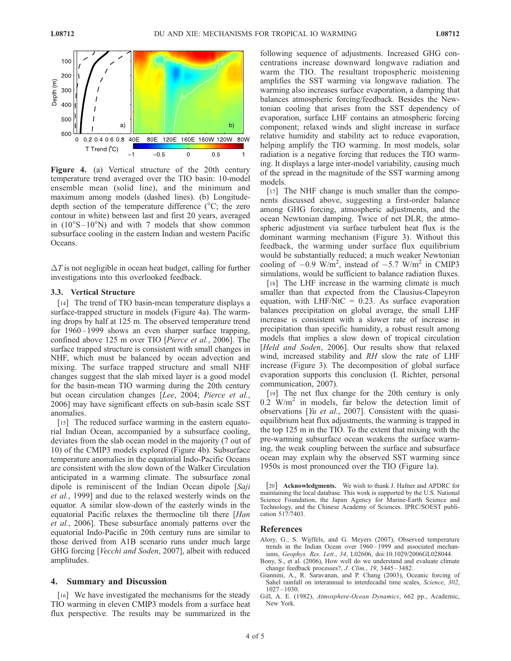

Figure 4. (a) Vertical structure of the 20th century temperature trend averaged over the TIO basin: 10-model ensemble mean (solid line), and the minimum and maximum among models (dashed lines). (b) Longitudedepth section of the temperature difference ( $\rm{^{\circ}C;}$  the zero contour in white) between last and first 20 years, averaged in  $(10^{\circ}S - 10^{\circ}N)$  and with 7 models that show common subsurface cooling in the eastern Indian and western Pacific Oceans.

 $\Delta T$  is not negligible in ocean heat budget, calling for further investigations into this overlooked feedback.

#### 3.3. Vertical Structure

[14] The trend of TIO basin-mean temperature displays a surface-trapped structure in models (Figure 4a). The warming drops by half at 125 m. The observed temperature trend for 1960–1999 shows an even sharper surface trapping, confined above 125 m over TIO [Pierce et al., 2006]. The surface trapped structure is consistent with small changes in NHF, which must be balanced by ocean advection and mixing. The surface trapped structure and small NHF changes suggest that the slab mixed layer is a good model for the basin-mean TIO warming during the 20th century but ocean circulation changes [Lee, 2004; Pierce et al., 2006] may have significant effects on sub-basin scale SST anomalies.

[15] The reduced surface warming in the eastern equatorial Indian Ocean, accompanied by a subsurface cooling, deviates from the slab ocean model in the majority (7 out of 10) of the CMIP3 models explored (Figure 4b). Subsurface temperature anomalies in the equatorial Indo-Pacific Oceans are consistent with the slow down of the Walker Circulation anticipated in a warming climate. The subsurface zonal dipole is reminiscent of the Indian Ocean dipole [Saji et al., 1999] and due to the relaxed westerly winds on the equator. A similar slow-down of the easterly winds in the equatorial Pacific relaxes the thermocline tilt there [Han et al., 2006]. These subsurface anomaly patterns over the equatorial Indo-Pacific in 20th century runs are similar to those derived from A1B scenario runs under much large GHG forcing [Vecchi and Soden, 2007], albeit with reduced amplitudes.

#### 4. Summary and Discussion

[16] We have investigated the mechanisms for the steady TIO warming in eleven CMIP3 models from a surface heat flux perspective. The results may be summarized in the

following sequence of adjustments. Increased GHG concentrations increase downward longwave radiation and warm the TIO. The resultant tropospheric moistening amplifies the SST warming via longwave radiation. The warming also increases surface evaporation, a damping that balances atmospheric forcing/feedback. Besides the Newtonian cooling that arises from the SST dependency of evaporation, surface LHF contains an atmospheric forcing component; relaxed winds and slight increase in surface relative humidity and stability act to reduce evaporation, helping amplify the TIO warming. In most models, solar radiation is a negative forcing that reduces the TIO warming. It displays a large inter-model variability, causing much of the spread in the magnitude of the SST warming among models.

[17] The NHF change is much smaller than the components discussed above, suggesting a first-order balance among GHG forcing, atmospheric adjustments, and the ocean Newtonian damping. Twice of net DLR, the atmospheric adjustment via surface turbulent heat flux is the dominant warming mechanism (Figure 3). Without this feedback, the warming under surface flux equilibrium would be substantially reduced; a much weaker Newtonian cooling of  $-0.9 \text{ W/m}^2$ , instead of  $-5.7 \text{ W/m}^2$  in CMIP3 simulations, would be sufficient to balance radiation fluxes.

[18] The LHF increase in the warming climate is much smaller than that expected from the Clausius-Clapeyron equation, with LHF/NtC =  $0.23$ . As surface evaporation balances precipitation on global average, the small LHF increase is consistent with a slower rate of increase in precipitation than specific humidity, a robust result among models that implies a slow down of tropical circulation [Held and Soden, 2006]. Our results show that relaxed wind, increased stability and RH slow the rate of LHF increase (Figure 3). The decomposition of global surface evaporation supports this conclusion (I. Richter, personal communication, 2007).

[19] The net flux change for the 20th century is only  $0.2$  W/m<sup>2</sup> in models, far below the detection limit of observations [Yu et al., 2007]. Consistent with the quasiequilibrium heat flux adjustments, the warming is trapped in the top 125 m in the TIO. To the extent that mixing with the pre-warming subsurface ocean weakens the surface warming, the weak coupling between the surface and subsurface ocean may explain why the observed SST warming since 1950s is most pronounced over the TIO (Figure 1a).

[20] **Acknowledgments.** We wish to thank J. Hafner and APDRC for maintaining the local database. This work is supported by the U.S. National Science Foundation, the Japan Agency for Marine-Earth Science and Technology, and the Chinese Academy of Sciences. IPRC/SOEST publication 517/7403.

#### References

- Alory, G., S. Wijffels, and G. Meyers (2007), Observed temperature trends in the Indian Ocean over 1960–1999 and associated mechanisms, Geophys. Res. Lett., 34, L02606, doi:10.1029/2006GL028044.
- Bony, S., et al. (2006), How well do we understand and evaluate climate change feedback processes?, J. Clim., 19, 3445-3482.
- Giannini, A., R. Saravanan, and P. Chang (2003), Oceanic forcing of Sahel rainfall on interannual to interdecadal time scales, Science, 302, 1027 – 1030.
- Gill, A. E. (1982), Atmosphere-Ocean Dynamics, 662 pp., Academic, New York.